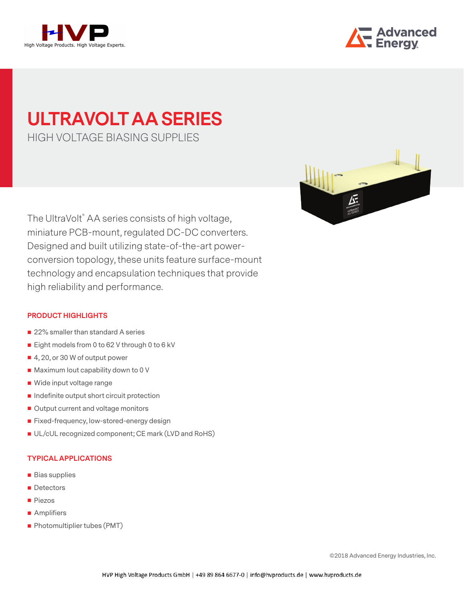



# **ULTRAVOLT AA SERIES**  HIGH VOLTAGE BIASING SUPPLIES

The UltraVolt® AA series consists of high voltage, miniature PCB-mount, regulated DC-DC converters. Designed and built utilizing state-of-the-art powerconversion topology, these units feature surface-mount technology and encapsulation techniques that provide high reliability and performance.

#### **PRODUCT HIGHLIGHTS**

- 22% smaller than standard A series
- Eight models from 0 to 62 V through 0 to 6 kV
- 4, 20, or 30 W of output power
- $\blacksquare$  Maximum lout capability down to 0 V
- Wide input voltage range
- $\blacksquare$  Indefinite output short circuit protection
- Output current and voltage monitors
- Fixed-frequency, low-stored-energy design
- UL/cUL recognized component; CE mark (LVD and RoHS)

### **TYPICAL APPLICATIONS**

- **Bias supplies**
- **Detectors**
- **Piezos**
- **Amplifiers**
- **Photomultiplier tubes (PMT)**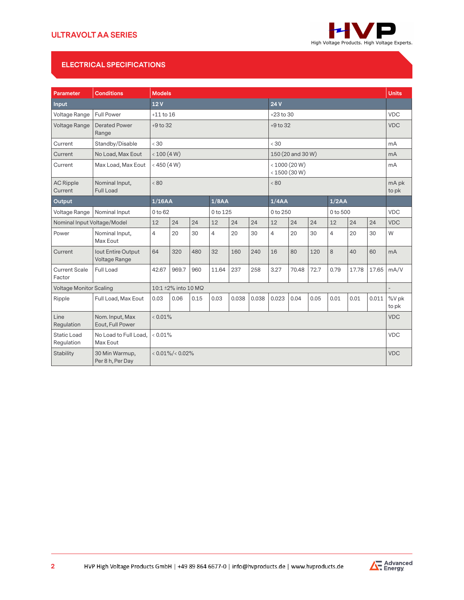

# **ELECTRICAL SPECIFICATIONS**

| Parameter                      | <b>Conditions</b>                   | <b>Models</b>        |             |          |                |          |                                |                   |            | <b>Units</b> |                |            |            |                |
|--------------------------------|-------------------------------------|----------------------|-------------|----------|----------------|----------|--------------------------------|-------------------|------------|--------------|----------------|------------|------------|----------------|
| Input                          |                                     | 24V<br>12V           |             |          |                |          |                                |                   |            |              |                |            |            |                |
| Voltage Range                  | <b>Full Power</b>                   | $+11$ to $16$        |             |          |                |          | $+23$ to 30                    |                   |            |              |                |            | <b>VDC</b> |                |
| Voltage Range                  | <b>Derated Power</b><br>Range       | $+9$ to 32           |             |          |                |          | $+9$ to 32                     |                   |            |              |                |            | <b>VDC</b> |                |
| Current                        | Standby/Disable                     | < 30                 |             |          |                |          |                                | < 30              |            |              |                |            |            | mA             |
| Current                        | No Load, Max Eout                   |                      | < 100 (4 W) |          |                |          |                                | 150 (20 and 30 W) |            |              |                |            |            | mA             |
| Current                        | Max Load, Max Eout                  | $<$ 450 (4 W)        |             |          |                |          | < 1000 (20 W)<br>< 1500 (30 W) |                   |            |              |                | mA         |            |                |
| <b>AC Ripple</b><br>Current    | Nominal Input,<br><b>Full Load</b>  | < 80                 |             |          |                |          |                                | < 80              |            |              |                |            |            | mA pk<br>to pk |
| Output                         |                                     | 1/16AA               |             |          | 1/8AA          |          |                                | 1/4AA             |            |              | 1/2AA          |            |            |                |
| Voltage Range                  | Nominal Input                       | 0 to 62              |             | 0 to 125 |                | 0 to 250 |                                |                   | 0 to 500   |              |                | <b>VDC</b> |            |                |
| Nominal Input Voltage/Model    |                                     | 12                   | 24          | 24       | 12             | 24       | 24                             | 12                | 24         | 24           | 12             | 24         | 24         | <b>VDC</b>     |
| Power                          | Nominal Input,<br>Max Eout          | $\overline{4}$       | 20          | 30       | $\overline{4}$ | 20       | 30                             | $\overline{4}$    | 20         | 30           | $\overline{4}$ | 20         | 30         | W              |
| Current                        | lout Entire Output<br>Voltage Range | 64                   | 320         | 480      | 32             | 160      | 240                            | 16                | 80         | 120          | 8              | 40         | 60         | mA             |
| <b>Current Scale</b><br>Factor | Full Load                           | 42.67                | 969.7       | 960      | 11.64          | 237      | 258                            | 3.27              | 70.48      | 72.7         | 0.79           | 17.78      | 17.65      | mA/V           |
| <b>Voltage Monitor Scaling</b> |                                     | 10:1 ±2% into 10 MΩ  |             |          |                |          |                                |                   |            |              |                |            |            |                |
| Ripple                         | Full Load, Max Eout                 | 0.03                 | 0.06        | 0.15     | 0.03           | 0.038    | 0.038                          | 0.023             | 0.04       | 0.05         | 0.01           | 0.01       | 0.011      | %V pk<br>to pk |
| Line<br>Regulation             | Nom. Input, Max<br>Eout, Full Power | $< 0.01\%$           |             |          |                |          |                                |                   |            | <b>VDC</b>   |                |            |            |                |
| Static Load<br>Regulation      | No Load to Full Load,<br>Max Eout   |                      | $< 0.01\%$  |          |                |          |                                |                   |            | <b>VDC</b>   |                |            |            |                |
| <b>Stability</b>               | 30 Min Warmup,<br>Per 8 h, Per Day  | $< 0.01\%/ < 0.02\%$ |             |          |                |          |                                |                   | <b>VDC</b> |              |                |            |            |                |

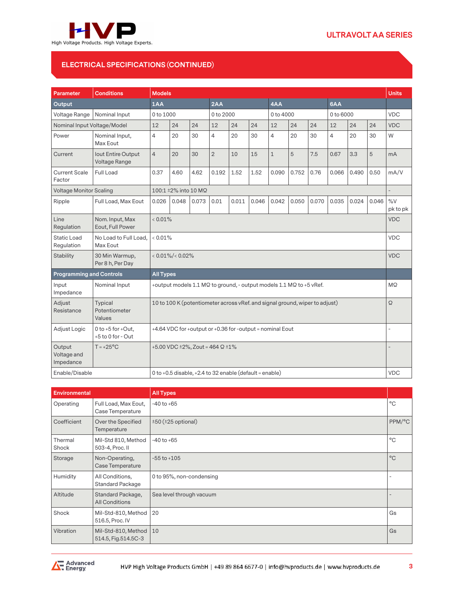

# **ELECTRICAL SPECIFICATIONS (CONTINUED)**

| <b>Parameter</b>                   | <b>Conditions</b>                             | <b>Models</b>                                                               |                                        |       |                                                         |       |       |                | <b>Units</b> |       |                |       |       |                   |
|------------------------------------|-----------------------------------------------|-----------------------------------------------------------------------------|----------------------------------------|-------|---------------------------------------------------------|-------|-------|----------------|--------------|-------|----------------|-------|-------|-------------------|
| <b>Output</b>                      |                                               | 1AA                                                                         |                                        | 2AA   |                                                         | 4AA   |       |                | 6AA          |       |                |       |       |                   |
| Voltage Range                      | Nominal Input                                 |                                                                             | 0 to 1000                              |       | 0 to 2000                                               |       |       | 0 to 4000      |              |       | 0 to 6000      |       |       | <b>VDC</b>        |
| Nominal Input Voltage/Model        |                                               | 12                                                                          | 24                                     | 24    | 12                                                      | 24    | 24    | 12             | 24           | 24    | 12             | 24    | 24    | <b>VDC</b>        |
| Power                              | Nominal Input,<br>Max Eout                    | $\overline{4}$                                                              | 20                                     | 30    | $\overline{4}$                                          | 20    | 30    | $\overline{4}$ | 20           | 30    | $\overline{4}$ | 20    | 30    | W                 |
| Current                            | lout Entire Output<br>Voltage Range           | $\overline{4}$                                                              | 20                                     | 30    | $\overline{2}$                                          | 10    | 15    | $\mathbf{1}$   | 5            | 7.5   | 0.67           | 3.3   | 5     | mA                |
| <b>Current Scale</b><br>Factor     | Full Load                                     | 0.37                                                                        | 4.60                                   | 4.62  | 0.192                                                   | 1.52  | 1.52  | 0.090          | 0.752        | 0.76  | 0.066          | 0.490 | 0.50  | mA/V              |
| <b>Voltage Monitor Scaling</b>     |                                               |                                                                             | 100:1 ±2% into 10 MΩ                   |       |                                                         |       |       |                |              |       |                |       |       |                   |
| Ripple                             | Full Load, Max Eout                           | 0.026                                                                       | 0.048                                  | 0.073 | 0.01                                                    | 0.011 | 0.046 | 0.042          | 0.050        | 0.070 | 0.035          | 0.024 | 0.046 | $\%V$<br>pk to pk |
| Line<br>Regulation                 | Nom. Input, Max<br>Eout, Full Power           | $< 0.01\%$                                                                  |                                        |       |                                                         |       |       | <b>VDC</b>     |              |       |                |       |       |                   |
| <b>Static Load</b><br>Regulation   | No Load to Full Load,<br>Max Eout             | $< 0.01\%$                                                                  |                                        |       |                                                         |       |       | <b>VDC</b>     |              |       |                |       |       |                   |
| <b>Stability</b>                   | 30 Min Warmup,<br>Per 8 h, Per Day            |                                                                             | $< 0.01\%/ < 0.02\%$                   |       |                                                         |       |       |                | <b>VDC</b>   |       |                |       |       |                   |
| <b>Programming and Controls</b>    |                                               | <b>All Types</b>                                                            |                                        |       |                                                         |       |       |                |              |       |                |       |       |                   |
| Input<br>Impedance                 | Nominal Input                                 | +output models 1.1 MQ to ground, - output models 1.1 MQ to +5 vRef.         |                                        |       |                                                         |       |       | MQ             |              |       |                |       |       |                   |
| Adjust<br>Resistance               | <b>Typical</b><br>Potentiometer<br>Values     | 10 to 100 K (potentiometer across vRef. and signal ground, wiper to adjust) |                                        |       |                                                         |       |       | Ω              |              |       |                |       |       |                   |
| Adjust Logic                       | 0 to $+5$ for $+Out$ .<br>$+5$ to 0 for - Out | +4.64 VDC for +output or +0.36 for -output = nominal Eout                   |                                        |       |                                                         |       |       | ÷              |              |       |                |       |       |                   |
| Output<br>Voltage and<br>Impedance | $T = +25$ °C                                  |                                                                             | +5.00 VDC ±2%, Zout = 464 $\Omega$ ±1% |       |                                                         |       |       |                |              |       |                |       |       |                   |
| Enable/Disable                     |                                               |                                                                             |                                        |       | 0 to +0.5 disable, +2.4 to 32 enable (default = enable) |       |       |                |              |       |                |       |       | <b>VDC</b>        |

| <b>Environmental</b> |                                            | <b>All Types</b>         |              |
|----------------------|--------------------------------------------|--------------------------|--------------|
| Operating            | Full Load, Max Eout,<br>Case Temperature   | $-40$ to $+65$           | $^{\circ}$ C |
| Coefficient          | Over the Specified<br>Temperature          | $±50$ ( $±25$ optional)  | PPM/°C       |
| Thermal<br>Shock     | Mil-Std 810, Method<br>503-4, Proc. II     | $-40$ to $+65$           | $^{\circ}C$  |
| Storage              | Non-Operating,<br>Case Temperature         | $-55$ to $+105$          | $^{\circ}C$  |
| Humidity             | All Conditions,<br><b>Standard Package</b> | 0 to 95%, non-condensing |              |
| Altitude             | Standard Package,<br><b>All Conditions</b> | Sea level through vacuum |              |
| Shock                | Mil-Std-810, Method<br>516.5, Proc. IV     | 20                       | Gs           |
| Vibration            | Mil-Std-810, Method<br>514.5, Fig.514.5C-3 | 10                       | Gs           |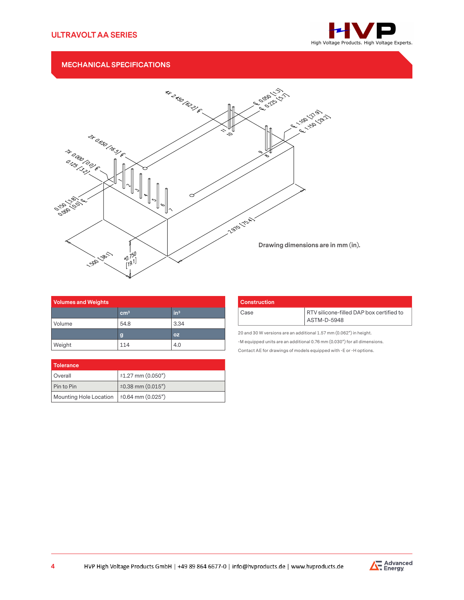

## **MECHANICAL SPECIFICATIONS**



| <b>Volumes and Weights</b> |                 |                 |  |  |  |
|----------------------------|-----------------|-----------------|--|--|--|
|                            | cm <sup>3</sup> | in <sup>3</sup> |  |  |  |
| Volume                     | 54.8            | 3.34            |  |  |  |
|                            | g               | <b>OZ</b>       |  |  |  |
| Weight                     | 114             | 4.0             |  |  |  |

| <b>Construction</b> |                                                         |  |  |  |  |  |
|---------------------|---------------------------------------------------------|--|--|--|--|--|
| Case                | RTV silicone-filled DAP box certified to<br>ASTM-D-5948 |  |  |  |  |  |

20 and 30 W versions are an additional 1.57 mm (0.062") in height.

-M equipped units are an additional 0.76 mm (0.030") for all dimensions.

Contact AE for drawings of models equipped with -E or -H options.

| Tolerance              |                        |
|------------------------|------------------------|
| Overall                | $±1.27$ mm (0.050")    |
| Pin to Pin             | $±0.38$ mm $(0.015")$  |
| Mounting Hole Location | $\pm 0.64$ mm (0.025") |

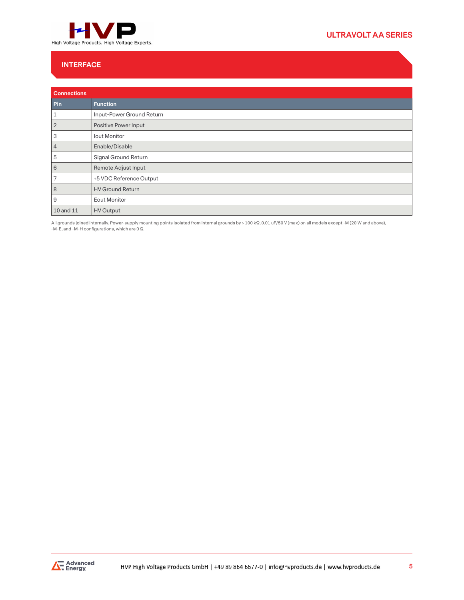

# **ULTRAVOLT AA SERIES**

## **INTERFACE**

| <b>Connections</b> |                           |
|--------------------|---------------------------|
| Pin                | <b>Function</b>           |
| 1                  | Input-Power Ground Return |
| $\overline{2}$     | Positive Power Input      |
| 3                  | <b>lout Monitor</b>       |
| $\overline{4}$     | Enable/Disable            |
| 5                  | Signal Ground Return      |
| 6                  | Remote Adjust Input       |
| 7                  | +5 VDC Reference Output   |
| 8                  | <b>HV Ground Return</b>   |
| 9                  | <b>Eout Monitor</b>       |
| 10 and 11          | <b>HV Output</b>          |

All grounds joined internally. Power-supply mounting points isolated from internal grounds by > 100 kΩ, 0.01 uF/50 V (max) on all models except -M (20 W and above), -M-E, and -M-H configurations, which are 0 Ω.